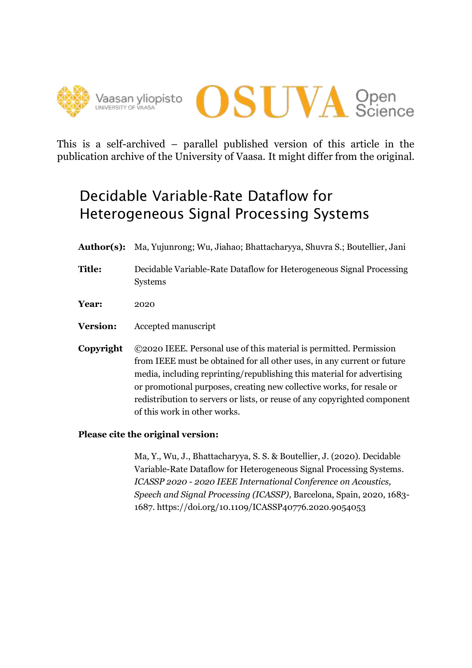



This is a self-archived – parallel published version of this article in the publication archive of the University of Vaasa. It might differ from the original.

# Decidable Variable-Rate Dataflow for Heterogeneous Signal Processing Systems

- **Author(s):** Ma, Yujunrong; Wu, Jiahao; Bhattacharyya, Shuvra S.; Boutellier, Jani
- **Title:** Decidable Variable-Rate Dataflow for Heterogeneous Signal Processing Systems
- **Year:** 2020
- **Version:** Accepted manuscript
- **Copyright** ©2020 IEEE. Personal use of this material is permitted. Permission from IEEE must be obtained for all other uses, in any current or future media, including reprinting/republishing this material for advertising or promotional purposes, creating new collective works, for resale or redistribution to servers or lists, or reuse of any copyrighted component of this work in other works.

# **Please cite the original version:**

Ma, Y., Wu, J., Bhattacharyya, S. S. & Boutellier, J. (2020). Decidable Variable-Rate Dataflow for Heterogeneous Signal Processing Systems. *ICASSP 2020 - 2020 IEEE International Conference on Acoustics, Speech and Signal Processing (ICASSP),* Barcelona, Spain, 2020, 1683- 1687. https://doi.org/10.1109/ICASSP40776.2020.9054053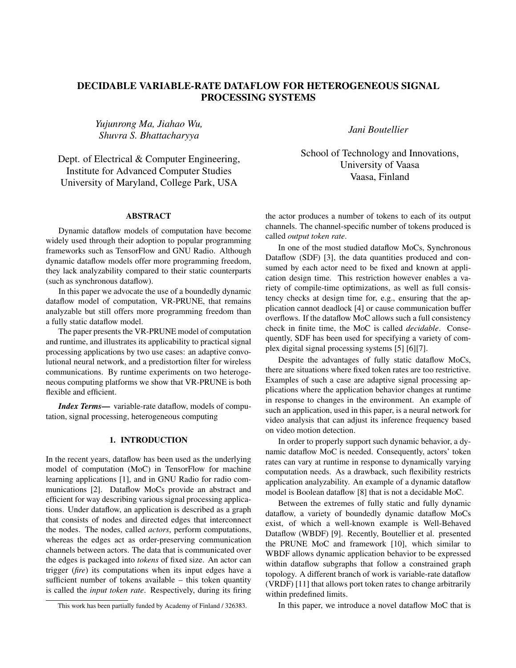# DECIDABLE VARIABLE-RATE DATAFLOW FOR HETEROGENEOUS SIGNAL PROCESSING SYSTEMS

*Yujunrong Ma, Jiahao Wu, Shuvra S. Bhattacharyya*

Dept. of Electrical & Computer Engineering, Institute for Advanced Computer Studies University of Maryland, College Park, USA

## ABSTRACT

Dynamic dataflow models of computation have become widely used through their adoption to popular programming frameworks such as TensorFlow and GNU Radio. Although dynamic dataflow models offer more programming freedom, they lack analyzability compared to their static counterparts (such as synchronous dataflow).

In this paper we advocate the use of a boundedly dynamic dataflow model of computation, VR-PRUNE, that remains analyzable but still offers more programming freedom than a fully static dataflow model.

The paper presents the VR-PRUNE model of computation and runtime, and illustrates its applicability to practical signal processing applications by two use cases: an adaptive convolutional neural network, and a predistortion filter for wireless communications. By runtime experiments on two heterogeneous computing platforms we show that VR-PRUNE is both flexible and efficient.

*Index Terms*— variable-rate dataflow, models of computation, signal processing, heterogeneous computing

# 1. INTRODUCTION

In the recent years, dataflow has been used as the underlying model of computation (MoC) in TensorFlow for machine learning applications [1], and in GNU Radio for radio communications [2]. Dataflow MoCs provide an abstract and efficient for way describing various signal processing applications. Under dataflow, an application is described as a graph that consists of nodes and directed edges that interconnect the nodes. The nodes, called *actors*, perform computations, whereas the edges act as order-preserving communication channels between actors. The data that is communicated over the edges is packaged into *tokens* of fixed size. An actor can trigger (*fire*) its computations when its input edges have a sufficient number of tokens available – this token quantity is called the *input token rate*. Respectively, during its firing

*Jani Boutellier*

School of Technology and Innovations, University of Vaasa Vaasa, Finland

the actor produces a number of tokens to each of its output channels. The channel-specific number of tokens produced is called *output token rate*.

In one of the most studied dataflow MoCs, Synchronous Dataflow (SDF) [3], the data quantities produced and consumed by each actor need to be fixed and known at application design time. This restriction however enables a variety of compile-time optimizations, as well as full consistency checks at design time for, e.g., ensuring that the application cannot deadlock [4] or cause communication buffer overflows. If the dataflow MoC allows such a full consistency check in finite time, the MoC is called *decidable*. Consequently, SDF has been used for specifying a variety of complex digital signal processing systems [5] [6][7].

Despite the advantages of fully static dataflow MoCs, there are situations where fixed token rates are too restrictive. Examples of such a case are adaptive signal processing applications where the application behavior changes at runtime in response to changes in the environment. An example of such an application, used in this paper, is a neural network for video analysis that can adjust its inference frequency based on video motion detection.

In order to properly support such dynamic behavior, a dynamic dataflow MoC is needed. Consequently, actors' token rates can vary at runtime in response to dynamically varying computation needs. As a drawback, such flexibility restricts application analyzability. An example of a dynamic dataflow model is Boolean dataflow [8] that is not a decidable MoC.

Between the extremes of fully static and fully dynamic dataflow, a variety of boundedly dynamic dataflow MoCs exist, of which a well-known example is Well-Behaved Dataflow (WBDF) [9]. Recently, Boutellier et al. presented the PRUNE MoC and framework [10], which similar to WBDF allows dynamic application behavior to be expressed within dataflow subgraphs that follow a constrained graph topology. A different branch of work is variable-rate dataflow (VRDF) [11] that allows port token rates to change arbitrarily within predefined limits.

In this paper, we introduce a novel dataflow MoC that is

This work has been partially funded by Academy of Finland / 326383.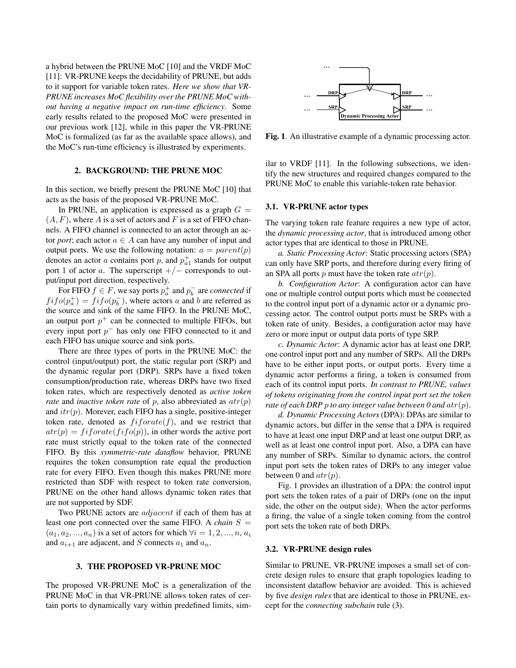a hybrid between the PRUNE MoC [10] and the VRDF MoC [11]: VR-PRUNE keeps the decidability of PRUNE, but adds to it support for variable token rates. *Here we show that VR-PRUNE increases MoC flexibility over the PRUNE MoC without having a negative impact on run-time efficiency*. Some early results related to the proposed MoC were presented in our previous work [12], while in this paper the VR-PRUNE MoC is formalized (as far as the available space allows), and the MoC's run-time efficiency is illustrated by experiments.

# 2. BACKGROUND: THE PRUNE MOC

In this section, we briefly present the PRUNE MoC [10] that acts as the basis of the proposed VR-PRUNE MoC.

In PRUNE, an application is expressed as a graph  $G =$  $(A, F)$ , where A is a set of actors and F is a set of FIFO channels. A FIFO channel is connected to an actor through an actor *port*; each actor  $a \in A$  can have any number of input and output ports. We use the following notation:  $a = parent(p)$ denotes an actor a contains port p, and  $p_{a1}^+$  stands for output port 1 of actor a. The superscript  $+/-$  corresponds to output/input port direction, respectively.

For FIFO  $f \in F$ , we say ports  $p_a^+$  and  $p_b^-$  are *connected* if  $fifo(p_a^+) = fifo(p_b^-)$ , where actors a and b are referred as the source and sink of the same FIFO. In the PRUNE MoC, an output port  $p^+$  can be connected to multiple FIFOs, but every input port  $p^-$  has only one FIFO connected to it and each FIFO has unique source and sink ports.

There are three types of ports in the PRUNE MoC: the control (input/output) port, the static regular port (SRP) and the dynamic regular port (DRP). SRPs have a fixed token consumption/production rate, whereas DRPs have two fixed token rates, which are respectively denoted as *active token rate* and *inactive token rate* of p, also abbreviated as  $atr(p)$ and  $itr(p)$ . Morever, each FIFO has a single, positive-integer token rate, denoted as  $fif or ate(f)$ , and we restrict that  $atr(p) = fit forate(fifo(p))$ , in other words the active port rate must strictly equal to the token rate of the connected FIFO. By this *symmetric-rate dataflow* behavior, PRUNE requires the token consumption rate equal the production rate for every FIFO. Even though this makes PRUNE more restricted than SDF with respect to token rate conversion, PRUNE on the other hand allows dynamic token rates that are not supported by SDF. In support for variable beken much be a support of vary with  $\frac{1}{2}$ <br>
for such a support of vary with the state of the proposition of the proposition of the state of the state of the state of the state of the state of t

Two PRUNE actors are *adjacent* if each of them has at least one port connected over the same FIFO. A *chain* S =  $(a_1, a_2, \ldots, a_n)$  is a set of actors for which  $\forall i = 1, 2, \ldots, n, a_i$ and  $a_{i+1}$  are adjacent, and S connects  $a_1$  and  $a_n$ .

# 3. THE PROPOSED VR-PRUNE MOC

The proposed VR-PRUNE MoC is a generalization of the PRUNE MoC in that VR-PRUNE allows token rates of cer-



Fig. 1. An illustrative example of a dynamic processing actor.

ilar to VRDF [11]. In the following subsections, we identify the new structures and required changes compared to the PRUNE MoC to enable this variable-token rate behavior.

#### 3.1. VR-PRUNE actor types

The varying token rate feature requires a new type of actor, the *dynamic processing actor*, that is introduced among other actor types that are identical to those in PRUNE.

*a. Static Processing Actor*: Static processing actors (SPA) can only have SRP ports, and therefore during every firing of an SPA all ports p must have the token rate  $atr(p)$ .

*b. Configuration Actor*: A configuration actor can have one or multiple control output ports which must be connected to the control input port of a dynamic actor or a dynamic processing actor. The control output ports must be SRPs with a token rate of unity. Besides, a configuration actor may have zero or more input or output data ports of type SRP.

*c. Dynamic Actor*: A dynamic actor has at least one DRP, one control input port and any number of SRPs. All the DRPs have to be either input ports, or output ports. Every time a dynamic actor performs a firing, a token is consumed from each of its control input ports. *In contrast to PRUNE, values of tokens originating from the control input port set the token rate of each DRP* p *to any integer value between 0 and* atr(p).

*d. Dynamic Processing Actors* (DPA): DPAs are similar to dynamic actors, but differ in the sense that a DPA is required to have at least one input DRP and at least one output DRP, as well as at least one control input port. Also, a DPA can have any number of SRPs. Similar to dynamic actors, the control input port sets the token rates of DRPs to any integer value between 0 and  $atr(p)$ .

Fig. 1 provides an illustration of a DPA: the control input port sets the token rates of a pair of DRPs (one on the input side, the other on the output side). When the actor performs a firing, the value of a single token coming from the control port sets the token rate of both DRPs.

#### 3.2. VR-PRUNE design rules

Similar to PRUNE, VR-PRUNE imposes a small set of concrete design rules to ensure that graph topologies leading to inconsistent dataflow behavior are avoided. This is achieved by five *design rules* that are identical to those in PRUNE, except for the *connecting subchain* rule (3).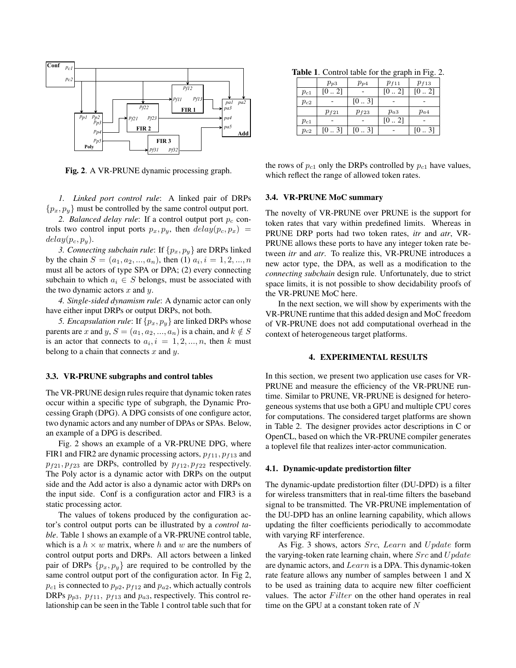

Fig. 2. A VR-PRUNE dynamic processing graph.

*1. Linked port control rule*: A linked pair of DRPs  $\{p_x, p_y\}$  must be controlled by the same control output port.

2. *Balanced delay rule*: If a control output port  $p_c$  controls two control input ports  $p_x, p_y$ , then  $delay(p_c, p_x)$  =  $delay(p_c, p_u)$ .

*3. Connecting subchain rule:* If  $\{p_x, p_y\}$  are DRPs linked by the chain  $S = (a_1, a_2, ..., a_n)$ , then (1)  $a_i, i = 1, 2, ..., n$ must all be actors of type SPA or DPA; (2) every connecting subchain to which  $a_i \in S$  belongs, must be associated with the two dynamic actors  $x$  and  $y$ .

*4. Single-sided dynamism rule*: A dynamic actor can only have either input DRPs or output DRPs, not both.

*5. Encapsulation rule*: If  $\{p_x, p_y\}$  are linked DRPs whose parents are x and y,  $S = (a_1, a_2, ..., a_n)$  is a chain, and  $k \notin S$ is an actor that connects to  $a_i, i = 1, 2, ..., n$ , then k must belong to a chain that connects  $x$  and  $y$ .

#### 3.3. VR-PRUNE subgraphs and control tables

The VR-PRUNE design rules require that dynamic token rates occur within a specific type of subgraph, the Dynamic Processing Graph (DPG). A DPG consists of one configure actor, two dynamic actors and any number of DPAs or SPAs. Below, an example of a DPG is described.

Fig. 2 shows an example of a VR-PRUNE DPG, where FIR1 and FIR2 are dynamic processing actors,  $p_{f11}, p_{f13}$  and  $p_{f21}, p_{f23}$  are DRPs, controlled by  $p_{f12}, p_{f22}$  respectively. The Poly actor is a dynamic actor with DRPs on the output side and the Add actor is also a dynamic actor with DRPs on the input side. Conf is a configuration actor and FIR3 is a static processing actor.

The values of tokens produced by the configuration actor's control output ports can be illustrated by a *control table*. Table 1 shows an example of a VR-PRUNE control table, which is a  $h \times w$  matrix, where h and w are the numbers of control output ports and DRPs. All actors between a linked pair of DRPs  $\{p_x, p_y\}$  are required to be controlled by the same control output port of the configuration actor. In Fig 2,  $p_{c1}$  is connected to  $p_{p2}$ ,  $p_{f12}$  and  $p_{a2}$ , which actually controls DRPs  $p_{p3}$ ,  $p_{f11}$ ,  $p_{f13}$  and  $p_{a3}$ , respectively. This control relationship can be seen in the Table 1 control table such that for

Table 1. Control table for the graph in Fig. 2.

|          | $p_{p3}$  | $p_{p4}$  | $p_{f11}$ | $p_{f13}$ |
|----------|-----------|-----------|-----------|-----------|
| $p_{c1}$ | [02]      |           | [0 2]     | [0 2]     |
| $p_{c2}$ |           | [03]      |           |           |
|          | $p_{f21}$ | $p_{f23}$ | $p_{a3}$  | $p_{a4}$  |
| $p_{c1}$ |           |           | [0 2]     |           |
| $p_{c2}$ | [03]      | [03]      |           | [03]      |

the rows of  $p_{c1}$  only the DRPs controlled by  $p_{c1}$  have values, which reflect the range of allowed token rates.

#### 3.4. VR-PRUNE MoC summary

The novelty of VR-PRUNE over PRUNE is the support for token rates that vary within predefined limits. Whereas in PRUNE DRP ports had two token rates, *itr* and *atr*, VR-PRUNE allows these ports to have any integer token rate between *itr* and *atr*. To realize this, VR-PRUNE introduces a new actor type, the DPA, as well as a modification to the *connecting subchain* design rule. Unfortunately, due to strict space limits, it is not possible to show decidability proofs of the VR-PRUNE MoC here.

In the next section, we will show by experiments with the VR-PRUNE runtime that this added design and MoC freedom of VR-PRUNE does not add computational overhead in the context of heterogeneous target platforms.

#### 4. EXPERIMENTAL RESULTS

In this section, we present two application use cases for VR-PRUNE and measure the efficiency of the VR-PRUNE runtime. Similar to PRUNE, VR-PRUNE is designed for heterogeneous systems that use both a GPU and multiple CPU cores for computations. The considered target platforms are shown in Table 2. The designer provides actor descriptions in C or OpenCL, based on which the VR-PRUNE compiler generates a toplevel file that realizes inter-actor communication.

#### 4.1. Dynamic-update predistortion filter

The dynamic-update predistortion filter (DU-DPD) is a filter for wireless transmitters that in real-time filters the baseband signal to be transmitted. The VR-PRUNE implementation of the DU-DPD has an online learning capability, which allows updating the filter coefficients periodically to accommodate with varying RF interference.

As Fig. 3 shows, actors *Src*, Learn and Update form the varying-token rate learning chain, where  $Src$  and  $Update$ are dynamic actors, and Learn is a DPA. This dynamic-token rate feature allows any number of samples between 1 and X to be used as training data to acquire new filter coefficient values. The actor  $Filter$  on the other hand operates in real time on the GPU at a constant token rate of  $N$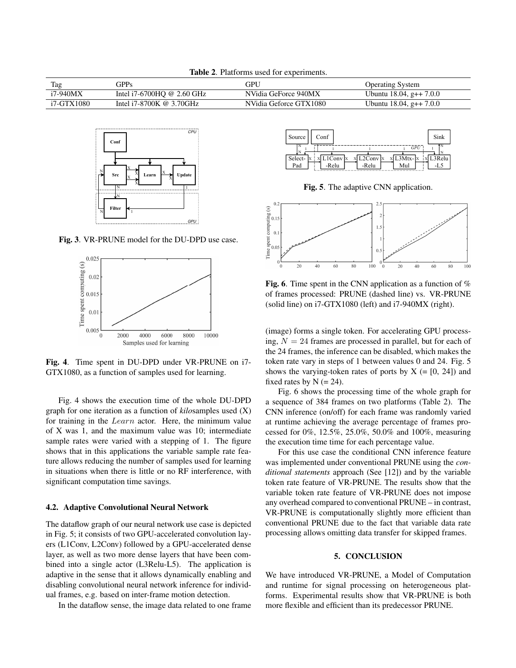Table 2. Platforms used for experiments.

| Tag        | GPPs                         | GPU                    | <b>Operating System</b>      |
|------------|------------------------------|------------------------|------------------------------|
| i7-940MX   | Intel i7-6700HO @ $2.60$ GHz | NVidia GeForce 940MX   | Ubuntu 18.04, $g_{++}$ 7.0.0 |
| i7-GTX1080 | Intel i7-8700K @ 3.70GHz     | NVidia Geforce GTX1080 | Ubuntu 18.04, $g++7.0.0$     |



Fig. 3. VR-PRUNE model for the DU-DPD use case.



Fig. 4. Time spent in DU-DPD under VR-PRUNE on i7- GTX1080, as a function of samples used for learning.

Fig. 4 shows the execution time of the whole DU-DPD graph for one iteration as a function of *kilo*samples used (X) for training in the Learn actor. Here, the minimum value of X was 1, and the maximum value was 10; intermediate sample rates were varied with a stepping of 1. The figure shows that in this applications the variable sample rate feature allows reducing the number of samples used for learning in situations when there is little or no RF interference, with significant computation time savings.

#### 4.2. Adaptive Convolutional Neural Network

The dataflow graph of our neural network use case is depicted in Fig. 5; it consists of two GPU-accelerated convolution layers (L1Conv, L2Conv) followed by a GPU-accelerated dense layer, as well as two more dense layers that have been combined into a single actor (L3Relu-L5). The application is adaptive in the sense that it allows dynamically enabling and disabling convolutional neural network inference for individual frames, e.g. based on inter-frame motion detection.

In the dataflow sense, the image data related to one frame



Fig. 5. The adaptive CNN application.



Fig. 6. Time spent in the CNN application as a function of % of frames processed: PRUNE (dashed line) vs. VR-PRUNE (solid line) on i7-GTX1080 (left) and i7-940MX (right).

(image) forms a single token. For accelerating GPU processing,  $N = 24$  frames are processed in parallel, but for each of the 24 frames, the inference can be disabled, which makes the token rate vary in steps of 1 between values 0 and 24. Fig. 5 shows the varying-token rates of ports by  $X = [0, 24]$  and fixed rates by  $N (= 24)$ .

Fig. 6 shows the processing time of the whole graph for a sequence of 384 frames on two platforms (Table 2). The CNN inference (on/off) for each frame was randomly varied at runtime achieving the average percentage of frames processed for 0%, 12.5%, 25.0%, 50.0% and 100%, measuring the execution time time for each percentage value.

For this use case the conditional CNN inference feature was implemented under conventional PRUNE using the *conditional statements* approach (See [12]) and by the variable token rate feature of VR-PRUNE. The results show that the variable token rate feature of VR-PRUNE does not impose any overhead compared to conventional PRUNE – in contrast, VR-PRUNE is computationally slightly more efficient than conventional PRUNE due to the fact that variable data rate processing allows omitting data transfer for skipped frames.

#### 5. CONCLUSION

We have introduced VR-PRUNE, a Model of Computation and runtime for signal processing on heterogeneous platforms. Experimental results show that VR-PRUNE is both more flexible and efficient than its predecessor PRUNE.